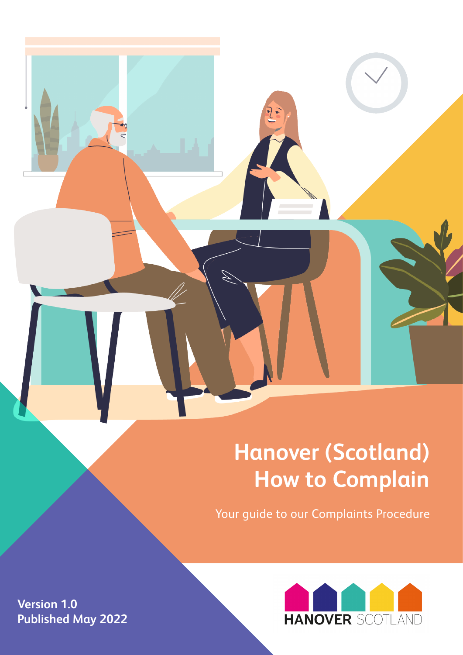## **Hanover (Scotland) How to Complain**

Your guide to our Complaints Procedure



**Version 1.0 Published May 2022**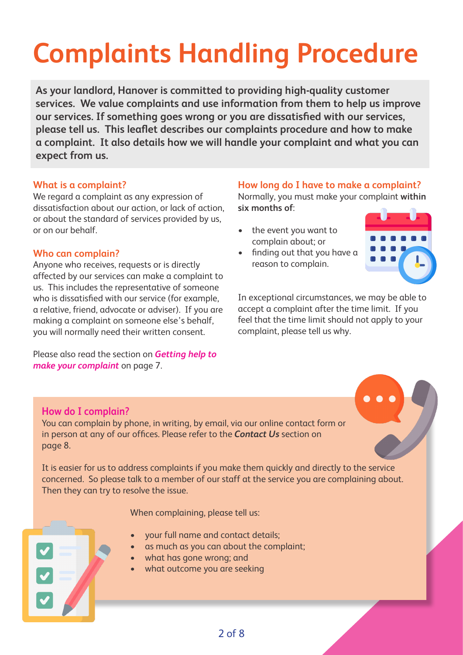# **Complaints Handling Procedure**

**As your landlord, Hanover is committed to providing high-quality customer services. We value complaints and use information from them to help us improve our services. If something goes wrong or you are dissatisfied with our services, please tell us. This leaflet describes our complaints procedure and how to make a complaint. It also details how we will handle your complaint and what you can expect from us.** 

#### **What is a complaint?**

We regard a complaint as any expression of dissatisfaction about our action, or lack of action, or about the standard of services provided by us, or on our behalf.

#### **Who can complain?**

Anyone who receives, requests or is directly affected by our services can make a complaint to us. This includes the representative of someone who is dissatisfied with our service (for example, a relative, friend, advocate or adviser). If you are making a complaint on someone else's behalf, you will normally need their written consent.

Please also read the section on *Getting help to make your complaint* on page 7.

#### **How long do I have to make a complaint?**

Normally, you must make your complaint **within six months of**:

- the event you want to complain about; or
- finding out that you have a reason to complain.



In exceptional circumstances, we may be able to accept a complaint after the time limit. If you feel that the time limit should not apply to your complaint, please tell us why.

#### **How do I complain?**

You can complain by phone, in writing, by email, via our online contact form or in person at any of our offices. Please refer to the *Contact Us* section on page 8.

It is easier for us to address complaints if you make them quickly and directly to the service concerned. So please talk to a member of our staff at the service you are complaining about. Then they can try to resolve the issue.

When complaining, please tell us:

- your full name and contact details;
- as much as you can about the complaint;
- what has gone wrong; and
- what outcome you are seeking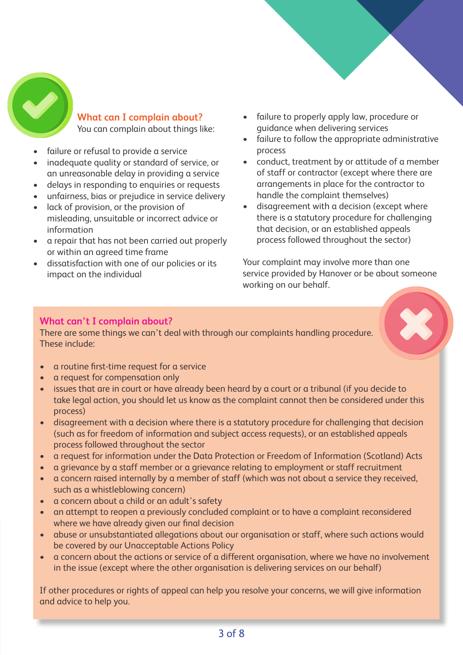

#### **What can I complain about?**  You can complain about things like:

- failure or refusal to provide a service
- inadequate quality or standard of service, or an unreasonable delay in providing a service
- delays in responding to enquiries or requests
- unfairness, bias or prejudice in service delivery
- lack of provision, or the provision of misleading, unsuitable or incorrect advice or information
- a repair that has not been carried out properly or within an agreed time frame
- dissatisfaction with one of our policies or its impact on the individual
- failure to properly apply law, procedure or guidance when delivering services
- failure to follow the appropriate administrative process
- conduct, treatment by or attitude of a member of staff or contractor (except where there are arrangements in place for the contractor to handle the complaint themselves)
- disagreement with a decision (except where there is a statutory procedure for challenging that decision, or an established appeals process followed throughout the sector)

Your complaint may involve more than one service provided by Hanover or be about someone working on our behalf.



#### **What can't I complain about?**

There are some things we can't deal with through our complaints handling procedure. These include:

- a routine first-time request for a service
- a request for compensation only
- issues that are in court or have already been heard by a court or a tribunal (if you decide to take legal action, you should let us know as the complaint cannot then be considered under this process)
- disagreement with a decision where there is a statutory procedure for challenging that decision (such as for freedom of information and subject access requests), or an established appeals process followed throughout the sector
- a request for information under the Data Protection or Freedom of Information (Scotland) Acts
- a grievance by a staff member or a grievance relating to employment or staff recruitment
- a concern raised internally by a member of staff (which was not about a service they received, such as a whistleblowing concern)
- a concern about a child or an adult's safety
- an attempt to reopen a previously concluded complaint or to have a complaint reconsidered where we have already given our final decision
- abuse or unsubstantiated allegations about our organisation or staff, where such actions would be covered by our Unacceptable Actions Policy
- a concern about the actions or service of a different organisation, where we have no involvement in the issue (except where the other organisation is delivering services on our behalf)

If other procedures or rights of appeal can help you resolve your concerns, we will give information and advice to help you.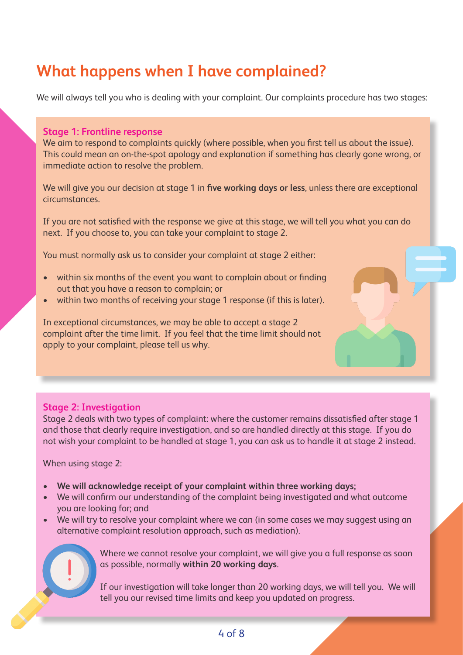## **What happens when I have complained?**

We will always tell you who is dealing with your complaint. Our complaints procedure has two stages:

#### **Stage 1: Frontline response**

We aim to respond to complaints quickly (where possible, when you first tell us about the issue). This could mean an on-the-spot apology and explanation if something has clearly gone wrong, or immediate action to resolve the problem.

We will give you our decision at stage 1 in **five working days or less**, unless there are exceptional circumstances.

If you are not satisfied with the response we give at this stage, we will tell you what you can do next. If you choose to, you can take your complaint to stage 2.

You must normally ask us to consider your complaint at stage 2 either:

- within six months of the event you want to complain about or finding out that you have a reason to complain; or
- within two months of receiving your stage 1 response (if this is later).

In exceptional circumstances, we may be able to accept a stage 2 complaint after the time limit. If you feel that the time limit should not apply to your complaint, please tell us why.

#### **Stage 2: Investigation**

Stage 2 deals with two types of complaint: where the customer remains dissatisfied after stage 1 and those that clearly require investigation, and so are handled directly at this stage. If you do not wish your complaint to be handled at stage 1, you can ask us to handle it at stage 2 instead.

When using stage 2:

- **• We will acknowledge receipt of your complaint within three working days;**
- We will confirm our understanding of the complaint being investigated and what outcome you are looking for; and
- We will try to resolve your complaint where we can (in some cases we may suggest using an alternative complaint resolution approach, such as mediation).



Where we cannot resolve your complaint, we will give you a full response as soon as possible, normally **within 20 working days**.

If our investigation will take longer than 20 working days, we will tell you. We will tell you our revised time limits and keep you updated on progress.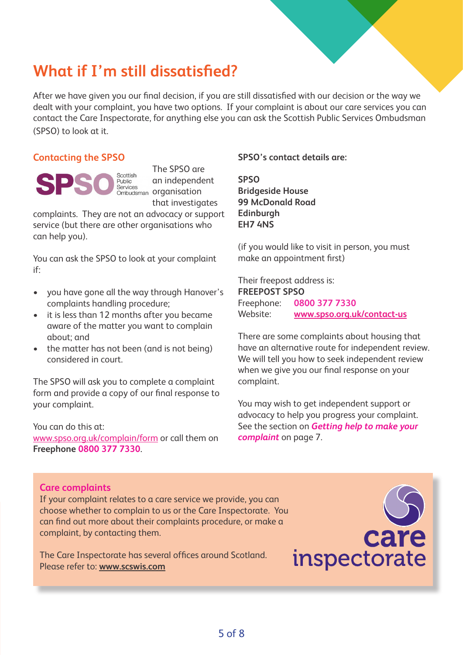### **What if I'm still dissatisfied?**

After we have given you our final decision, if you are still dissatisfied with our decision or the way we dealt with your complaint, you have two options. If your complaint is about our care services you can contact the Care Inspectorate, for anything else you can ask the Scottish Public Services Ombudsman (SPSO) to look at it.

#### **Contacting the SPSO**

Scottish Public Services

The SPSO are an independent services<br><sub>Ombudsman</sub> organisation that investigates

complaints. They are not an advocacy or support service (but there are other organisations who can help you).

You can ask the SPSO to look at your complaint if:

- you have gone all the way through Hanover's complaints handling procedure;
- it is less than 12 months after you became aware of the matter you want to complain about; and
- the matter has not been (and is not being) considered in court.

The SPSO will ask you to complete a complaint form and provide a copy of our final response to your complaint.

You can do this at: www.spso.org.uk/complain/form or call them on **Freephone 0800 377 7330**.

#### **SPSO's contact details are:**

**SPSO Bridgeside House 99 McDonald Road Edinburgh EH7 4NS**

(if you would like to visit in person, you must make an appointment first)

Their freepost address is: **FREEPOST SPSO** Freephone: **0800 377 7330**  Website: **www.spso.org.uk/contact-us**

There are some complaints about housing that have an alternative route for independent review. We will tell you how to seek independent review when we give you our final response on your complaint.

You may wish to get independent support or advocacy to help you progress your complaint. See the section on *Getting help to make your complaint* on page 7.

#### **Care complaints**

If your complaint relates to a care service we provide, you can choose whether to complain to us or the Care Inspectorate. You can find out more about their complaints procedure, or make a complaint, by contacting them.

The Care Inspectorate has several offices around Scotland. Please refer to: **www.scswis.com**

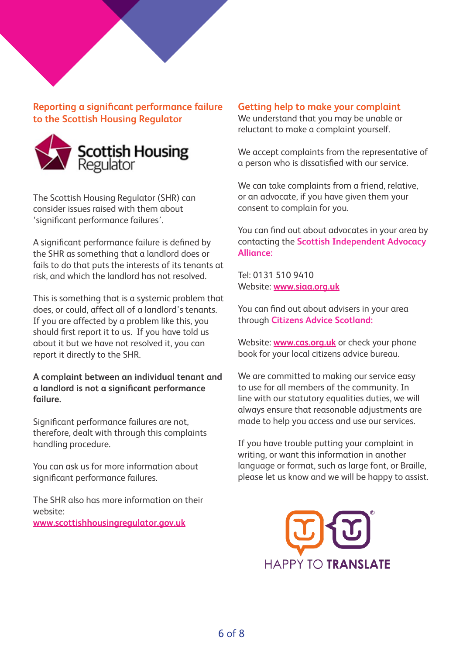**Reporting a significant performance failure to the Scottish Housing Regulator**



The Scottish Housing Regulator (SHR) can consider issues raised with them about 'significant performance failures'.

A significant performance failure is defined by the SHR as something that a landlord does or fails to do that puts the interests of its tenants at risk, and which the landlord has not resolved.

This is something that is a systemic problem that does, or could, affect all of a landlord's tenants. If you are affected by a problem like this, you should first report it to us. If you have told us about it but we have not resolved it, you can report it directly to the SHR.

#### **A complaint between an individual tenant and a landlord is not a significant performance failure.**

Significant performance failures are not, therefore, dealt with through this complaints handling procedure.

You can ask us for more information about significant performance failures.

The SHR also has more information on their website:

**www.scottishhousingregulator.gov.uk**

#### **Getting help to make your complaint**

We understand that you may be unable or reluctant to make a complaint yourself.

We accept complaints from the representative of a person who is dissatisfied with our service.

We can take complaints from a friend, relative, or an advocate, if you have given them your consent to complain for you.

You can find out about advocates in your area by contacting the **Scottish Independent Advocacy Alliance:**

Tel: 0131 510 9410 Website: **www.siaa.org.uk**

You can find out about advisers in your area through **Citizens Advice Scotland:**

Website: **www.cas.org.uk** or check your phone book for your local citizens advice bureau.

We are committed to making our service easy to use for all members of the community. In line with our statutory equalities duties, we will always ensure that reasonable adjustments are made to help you access and use our services.

If you have trouble putting your complaint in writing, or want this information in another language or format, such as large font, or Braille, please let us know and we will be happy to assist.

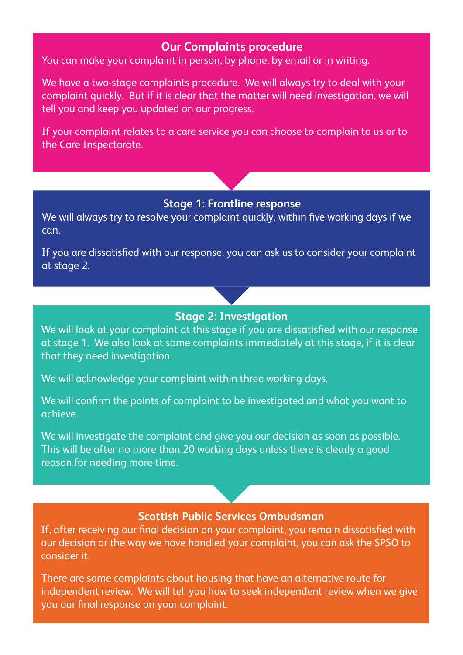#### **Our Complaints procedure**

You can make your complaint in person, by phone, by email or in writing.

We have a two-stage complaints procedure. We will always try to deal with your complaint quickly. But if it is clear that the matter will need investigation, we will tell you and keep you updated on our progress.

If your complaint relates to a care service you can choose to complain to us or to the Care Inspectorate.

#### **Stage 1: Frontline response**

We will always try to resolve your complaint quickly, within five working days if we can.

If you are dissatisfied with our response, you can ask us to consider your complaint at stage 2.

#### **Stage 2: Investigation**

We will look at your complaint at this stage if you are dissatisfied with our response at stage 1. We also look at some complaints immediately at this stage, if it is clear that they need investigation.

We will acknowledge your complaint within three working days.

We will confirm the points of complaint to be investigated and what you want to achieve.

We will investigate the complaint and give you our decision as soon as possible. This will be after no more than 20 working days unless there is clearly a good reason for needing more time.

#### **Scottish Public Services Ombudsman**

If, after receiving our final decision on your complaint, you remain dissatisfied with our decision or the way we have handled your complaint, you can ask the SPSO to consider it.

There are some complaints about housing that have an alternative route for independent review. We will tell you how to seek independent review when we give you our final response on your complaint.